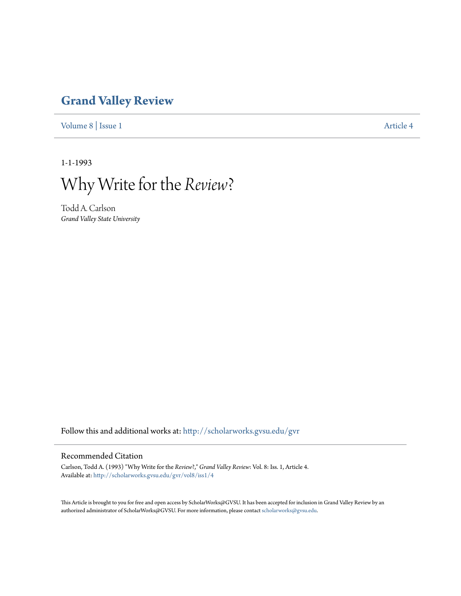# **[Grand Valley Review](http://scholarworks.gvsu.edu/gvr?utm_source=scholarworks.gvsu.edu%2Fgvr%2Fvol8%2Fiss1%2F4&utm_medium=PDF&utm_campaign=PDFCoverPages)**

[Volume 8](http://scholarworks.gvsu.edu/gvr/vol8?utm_source=scholarworks.gvsu.edu%2Fgvr%2Fvol8%2Fiss1%2F4&utm_medium=PDF&utm_campaign=PDFCoverPages) | [Issue 1](http://scholarworks.gvsu.edu/gvr/vol8/iss1?utm_source=scholarworks.gvsu.edu%2Fgvr%2Fvol8%2Fiss1%2F4&utm_medium=PDF&utm_campaign=PDFCoverPages) [Article 4](http://scholarworks.gvsu.edu/gvr/vol8/iss1/4?utm_source=scholarworks.gvsu.edu%2Fgvr%2Fvol8%2Fiss1%2F4&utm_medium=PDF&utm_campaign=PDFCoverPages)

1-1-1993

Why Write for the *Review*?

Todd A. Carlson *Grand Valley State University*

Follow this and additional works at: [http://scholarworks.gvsu.edu/gvr](http://scholarworks.gvsu.edu/gvr?utm_source=scholarworks.gvsu.edu%2Fgvr%2Fvol8%2Fiss1%2F4&utm_medium=PDF&utm_campaign=PDFCoverPages)

#### Recommended Citation

Carlson, Todd A. (1993) "Why Write for the *Review*?," *Grand Valley Review*: Vol. 8: Iss. 1, Article 4. Available at: [http://scholarworks.gvsu.edu/gvr/vol8/iss1/4](http://scholarworks.gvsu.edu/gvr/vol8/iss1/4?utm_source=scholarworks.gvsu.edu%2Fgvr%2Fvol8%2Fiss1%2F4&utm_medium=PDF&utm_campaign=PDFCoverPages)

This Article is brought to you for free and open access by ScholarWorks@GVSU. It has been accepted for inclusion in Grand Valley Review by an authorized administrator of ScholarWorks@GVSU. For more information, please contact [scholarworks@gvsu.edu.](mailto:scholarworks@gvsu.edu)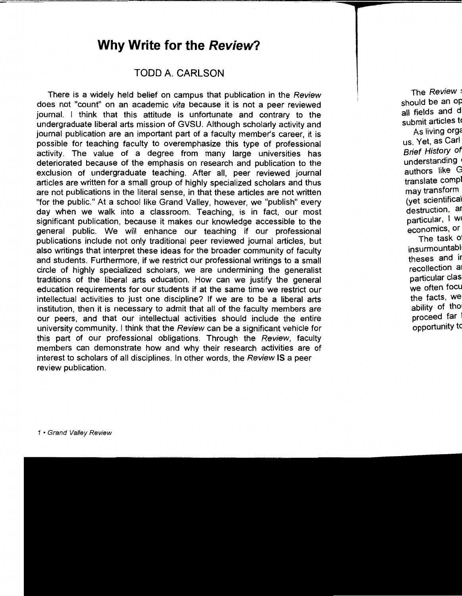## **Why Write for the Review?**

#### TODD A. CARLSON

There is a widely held belief on campus that publication in the Review does not "count" on an academic vita because it is not a peer reviewed journal. I think that this attitude is unfortunate and contrary to the undergraduate liberal arts mission of GVSU. Although scholarly activity and journal publication are an important part of a faculty member's career, it is possible for teaching faculty to overemphasize this type of professional activity. The value of a degree from many large universities has deteriorated because of the emphasis on research and publication to the exclusion of undergraduate teaching. After all, peer reviewed journal articles are written for a small group of highly specialized scholars and thus are not publications in the literal sense, in that these articles are not written "for the public." At a school like Grand Valley, however, we "publish" every day when we walk into a classroom. Teaching, is in fact, our most significant publication, because it makes our knowledge accessible to the general public. We will enhance our teaching if our professional publications include not only traditional peer reviewed journal articles, but also writings that interpret these ideas for the broader community of faculty and students. Furthermore, if we restrict our professional writings to a small circle of highly specialized scholars, we are undermining the generalist traditions of the liberal arts education. How can we justify the general education requirements for our students if at the same time we restrict our intellectual activities to just one discipline? If we are to be a liberal arts institution, then it is necessary to admit that all of the faculty members are our peers, and that our intellectual activities should include the entire university community. I think that the Review can be a significant vehicle for this part of our professional obligations. Through the Review, faculty members can demonstrate how and why their research activities are of interest to scholars of all disciplines. In other words, the Review IS a peer review publication.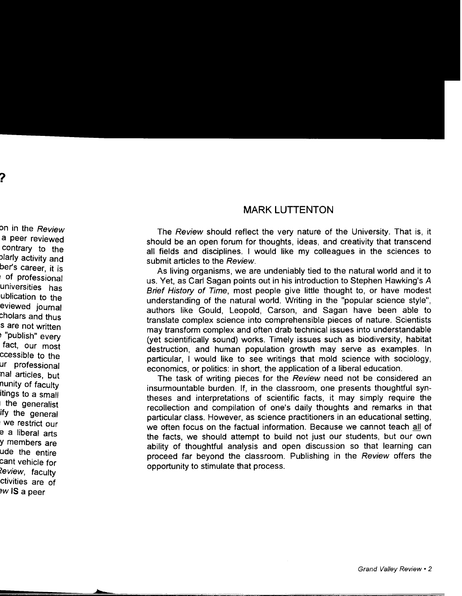### **MARKLUTTENTON**

The Review should reflect the very nature of the University. That is, it should be an open forum for thoughts, ideas, and creativity that transcend all fields and disciplines. I would like my colleagues in the sciences to submit articles to the Review.

As living organisms, we are undeniably tied to the natural world and it to us. Yet, as Carl Sagan points out in his introduction to Stephen Hawking's A Brief History of Time, most people give little thought to, or have modest understanding of the natural world. Writing in the "popular science style", authors like Gould, Leopold, Carson, and Sagan have been able to translate complex science into comprehensible pieces of nature. Scientists may transform complex and often drab technical issues into understandable (yet scientifically sound) works. Timely issues such as biodiversity, habitat destruction, and human population growth may serve as examples. In particular, I would like to see writings that mold science with sociology, economics, or politics: in short, the application of a liberal education.

The task of writing pieces for the Review need not be considered an insurmountable burden. If, in the classroom, one presents thoughtful syntheses and interpretations of scientific facts, it may simply require the recollection and compilation of one's daily thoughts and remarks in that particular class. However, as science practitioners in an educational setting, we often focus on the factual information. Because we cannot teach all of the facts, we should attempt to build not just our students, but our own ability of thoughtful analysis and open discussion so that learning can proceed far beyond the classroom. Publishing in the Review offers the opportunity to stimulate that process.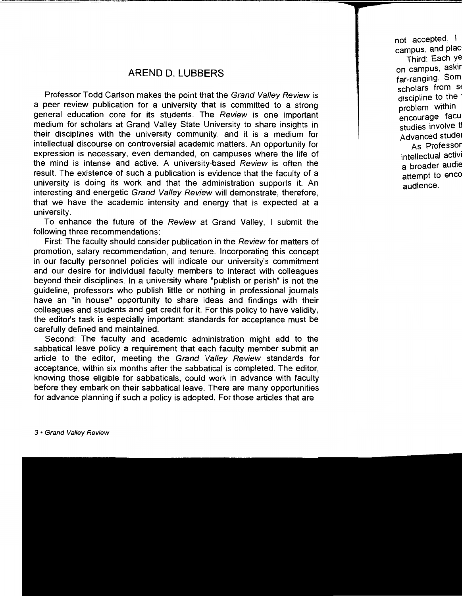### **AREND D. LUBBERS**

Professor Todd Carlson makes the point that the Grand Valley Review is a peer review publication for a university that is committed to a strong general education core for its students. The Review is one important medium for scholars at Grand Valley State University to share insights in their disciplines with the university community, and it is a medium for intellectual discourse on controversial academic matters. An opportunity for expression is necessary, even demanded, on campuses where the life of the mind is intense and active. A university-based Review is often the result. The existence of such a publication is evidence that the faculty of a university is doing its work and that the administration supports it. An interesting and energetic Grand Valley Review will demonstrate, therefore, that we have the academic intensity and energy that is expected at a university.

To enhance the future of the Review at Grand Valley, I submit the following three recommendations:

First: The faculty should consider publication in the Review for matters of promotion, salary recommendation, and tenure. Incorporating this concept in our faculty personnel policies will indicate our university's commitment and our desire for individual faculty members to interact with colleagues beyond their disciplines. In a university where "publish or perish" is not the guideline, professors who publish little or nothing in professional journals have an "in house" opportunity to share ideas and findings with their colleagues and students and get credit for it. For this policy to have validity, the editor's task is especially important: standards for acceptance must be carefully defined and maintained.

Second: The faculty and academic administration might add to the sabbatical leave policy a requirement that each faculty member submit an article to the editor, meeting the Grand Valley Review standards for acceptance, within six months after the sabbatical is completed. The editor, knowing those eligible for sabbaticals, could work in advance with faculty before they embark on their sabbatical leave. There are many opportunities for advance planning if such a policy is adopted. For those articles that are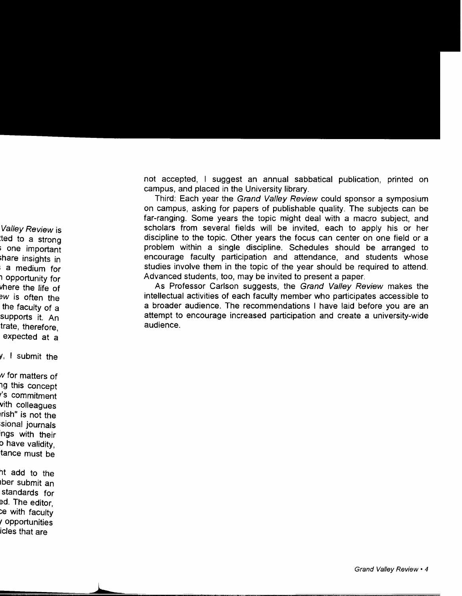not accepted, I suggest an annual sabbatical publication, printed on campus, and placed in the University library.

Third: Each year the Grand Valley Review could sponsor a symposium on campus, asking for papers of publishable quality. The subjects can be far-ranging. Some years the topic might deal with a macro subject, and scholars from several fields will be invited, each to apply his or her discipline to the topic. Other years the focus can center on one field or a problem within a single discipline. Schedules should be arranged to encourage faculty participation and attendance, and students whose studies involve them in the topic of the year should be required to attend. Advanced students, too, may be invited to present a paper.

As Professor Carlson suggests, the Grand Valley Review makes the intellectual activities of each faculty member who participates accessible to a broader audience. The recommendations I have laid before you are an attempt to encourage increased participation and create a university-wide audience.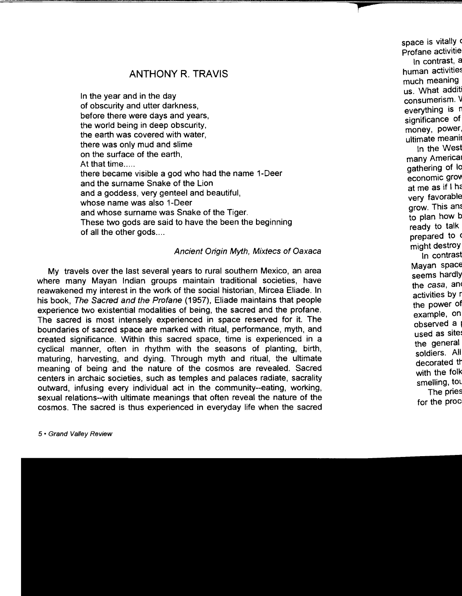## ANTHONY R. TRAVIS

In the year and in the day of obscurity and utter darkness, before there were days and years, the world being in deep obscurity, the earth was covered with water. there was only mud and slime on the surface of the earth, At that time..... there became visible a god who had the name 1-Deer and the surname Snake of the Lion and a goddess, very genteel and beautiful, whose name was also 1-Deer and whose surname was Snake of the Tiger. These two gods are said to have the been the beginning of all the other gods....

#### Ancient Origin Myth, Mixtecs of Oaxaca

My travels over the last several years to rural southern Mexico, an area where many Mayan Indian groups maintain traditional societies, have reawakened my interest in the work of the social historian, Mircea Eliade. In his book, The Sacred and the Profane (1957), Eliade maintains that people experience two existential modalities of being, the sacred and the profane. The sacred is most intensely experienced in space reserved for it. The boundaries of sacred space are marked with ritual, performance, myth, and created significance. Within this sacred space, time is experienced in a cyclical manner, often in rhythm with the seasons of planting, birth, maturing, harvesting, and dying. Through myth and ritual, the ultimate meaning of being and the nature of the cosmos are revealed. Sacred centers in archaic societies, such as temples and palaces radiate, sacrality outward, infusing every individual act in the community--eating, working, sexual relations--with ultimate meanings that often reveal the nature of the cosmos. The sacred is thus experienced in everyday life when the sacred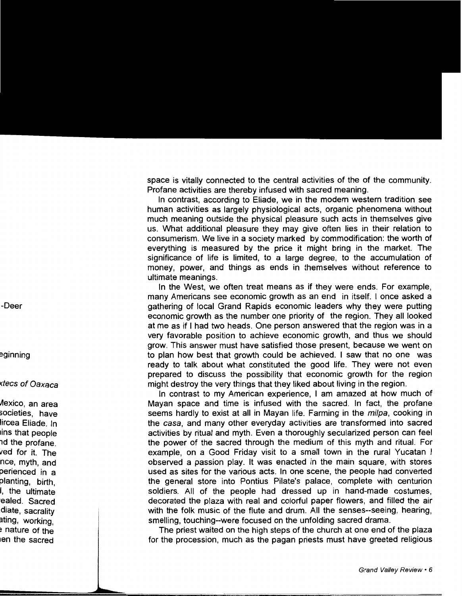space is vitally connected to the central activities of the of the community. Profane activities are thereby infused with sacred meaning.

In contrast, according to Eliade, we in the modern western tradition see human activities as largely physiological acts, organic phenomena without much meaning outside the physical pleasure such acts in themselves give us. What additional pleasure they may give often lies in their relation to consumerism. We live in a society marked by commodification: the worth of everything is measured by the price it might bring in the market. The significance of life is limited, to a large degree, to the accumulation of money, power, and things as ends in themselves without reference to ultimate meanings.

In the West, we often treat means as if they were ends. For example, many Americans see economic growth as an end in itself. I once asked a gathering of local Grand Rapids economic leaders why they were putting economic growth as the number one priority of the region. They all looked at me as if I had two heads. One person answered that the region was in a very favorable position to achieve economic growth, and thus we should grow. This answer must have satisfied those present, because we went on to plan how best that growth could be achieved. I saw that no one was ready to talk about what constituted the good life. They were not even prepared to discuss the possibility that economic growth for the region might destroy the very things that they liked about living in the region.

In contrast to my American experience, I am amazed at how much of Mayan space and time is infused with the sacred. In fact, the profane seems hardly to exist at all in Mayan life. Farming in the *milpa*, cooking in the casa, and many other everyday activities are transformed into sacred activities by ritual and myth. Even a thoroughly secularized person can feel the power of the sacred through the medium of this myth and ritual. For example, on a Good Friday visit to a small town in the rural Yucatan I observed a passion play. It was enacted in the main square, with stores used as sites for the various acts. In one scene, the people had converted the general store into Pontius Pilate's palace, complete with centurion soldiers. All of the people had dressed up in hand-made costumes, decorated the plaza with real and colorful paper flowers, and filled the air with the folk music of the flute and drum. All the senses--seeing, hearing, smelling, touching--were focused on the unfolding sacred drama.

The priest waited on the high steps of the church at one end of the plaza for the procession, much as the pagan priests must have greeted religious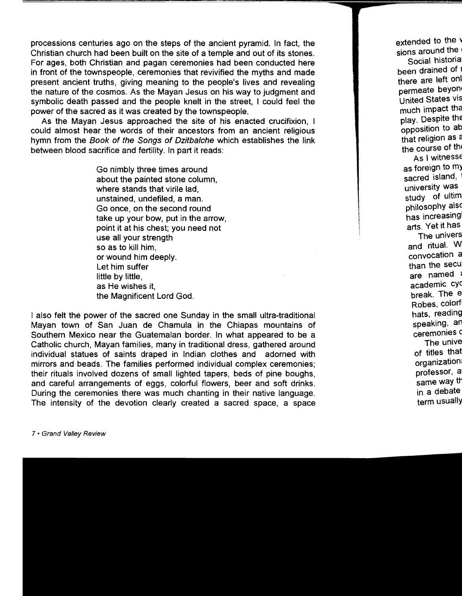processions centuries ago on the steps of the ancient pyramid. In fact, the Christian church had been built on the site of a temple and out of its stones. For ages, both Christian and pagan ceremonies had been conducted here in front of the townspeople, ceremonies that revivified the myths and made present ancient truths, giving meaning to the people's lives and revealing the nature of the cosmos. As the Mayan Jesus on his way to judgment and symbolic death passed and the people knelt in the street, I could feel the power of the sacred as it was created by the townspeople.

As the Mayan Jesus approached the site of his enacted crucifixion, I could almost hear the words of their ancestors from an ancient religious hymn from the Book of the Songs of Dzitbalche which establishes the link between blood sacrifice and fertility. In part it reads:

> Go nimbly three times around about the painted stone column, where stands that virile lad, unstained, undefiled, a man. Go once, on the second round take up your bow, put in the arrow, point it at his chest; you need not use all your strength so as to kill him, or wound him deeply. Let him suffer little by little, as He wishes it, the Magnificent Lord God.

I also felt the power of the sacred one Sunday in the small ultra-traditional Mayan town of San Juan de Chamula in the Chiapas mountains of Southern Mexico near the Guatemalan border. In what appeared to be a Catholic church, Mayan families, many in traditional dress, gathered around individual statues of saints draped in Indian clothes and adorned with mirrors and beads. The families performed individual complex ceremonies; their rituals involved dozens of small lighted tapers, beds of pine boughs, and careful arrangements of eggs, colorful flowers, beer and soft drinks. During the ceremonies there was much chanting in their native language. The intensity of the devotion clearly created a sacred space, a space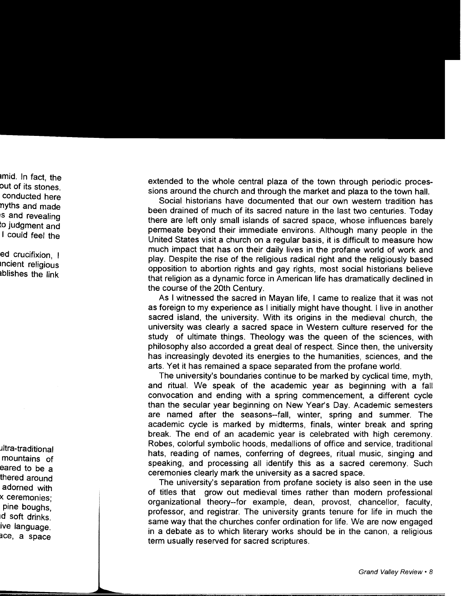extended to the whole central plaza of the town through periodic processions around the church and through the market and plaza to the town hall.

Social historians have documented that our own western tradition has been drained of much of its sacred nature in the last two centuries. Today there are left only small islands of sacred space, whose influences barely permeate beyond their immediate environs. Although many people in the United States visit a church on a regular basis, it is difficult to measure how much impact that has on their daily lives in the profane world of work and play. Despite the rise of the religious radical right and the religiously based opposition to abortion rights and gay rights, most social historians believe that religion as a dynamic force in American life has dramatically declined in the course of the 20th Century.

As I witnessed the sacred in Mayan life, I came to realize that it was not as foreign to my experience as I initially might have thought. I live in another sacred island, the university. With its origins in the medieval church, the university was clearly a sacred space in Western culture reserved for the study of ultimate things. Theology was the queen of the sciences, with philosophy also accorded a great deal of respect. Since then, the university has increasingly devoted its energies to the humanities, sciences, and the arts. Yet it has remained a space separated from the profane world.

The university's boundaries continue to be marked by cyclical time, myth, and ritual. We speak of the academic year as beginning with a fall convocation and ending with a spring commencement, a different cycle than the secular year beginning on New Year's Day. Academic semesters are named after the seasons--fall, winter, spring and summer. The academic cycle is marked by midterms, finals, winter break and spring break. The end of an academic year is celebrated with high ceremony. Robes, colorful symbolic hoods, medallions of office and service, traditional hats, reading of names, conferring of degrees, ritual music, singing and speaking, and processing all identify this as a sacred ceremony. Such ceremonies clearly mark the university as a sacred space.

The university's separation from profane society is also seen in the use of titles that grow out medieval times rather than modern professional organizational theory--for example, dean, provost, chancellor, faculty, professor, and registrar. The university grants tenure for life in much the same way that the churches confer ordination for life. We are now engaged in a debate as to which literary works should be in the canon, a religious term usually reserved for sacred scriptures.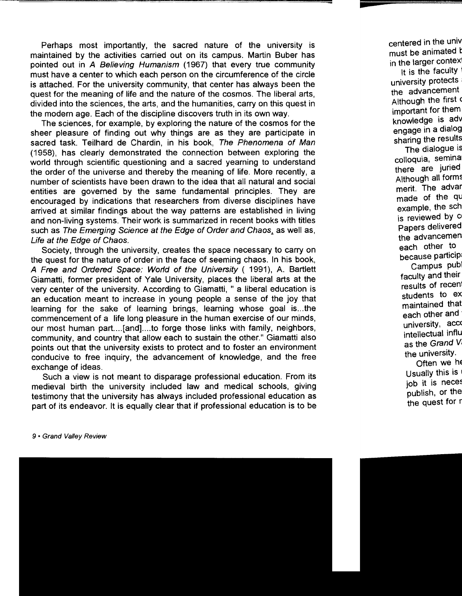Perhaps most importantly, the sacred nature of the university is maintained by the activities carried out on its campus. Martin Suber has pointed out in A Believing Humanism (1967) that every true community must have a center to which each person on the circumference of the circle is attached. For the university community, that center has always been the quest for the meaning of life and the nature of the cosmos. The liberal arts, divided into the sciences, the arts, and the humanities, carry on this quest in the modern age. Each of the discipline discovers truth in its own way.

The sciences, for example, by exploring the nature of the cosmos for the sheer pleasure of finding out why things are as they are participate in sacred task. Teilhard de Chardin, in his book, The Phenomena of Man (1958), has clearly demonstrated the connection between exploring the world through scientific questioning and a sacred yearning to understand the order of the universe and thereby the meaning of life. More recently, a number of scientists have been drawn to the idea that all natural and social entities are governed by the same fundamental principles. They are encouraged by indications that researchers from diverse disciplines have arrived at similar findings about the way patterns are established in living and non-living systems. Their work is summarized in recent books with titles such as The Emerging Science at the Edge of Order and Chaos, as well as, Life at the Edge of Chaos.

Society, through the university, creates the space necessary to carry on the quest for the nature of order in the face of seeming chaos. In his book, *A* Free and Ordered Space: World of the University ( 1991), A. Bartlett Giamatti, former president of Yale University, places the liberal arts at the very center of the university. According to Giamatti, " a liberal education is an education meant to increase in young people a sense of the joy that learning for the sake of learning brings, learning whose goal is...the commencement of a life long pleasure in the human exercise of our minds, our most human part.... [and].... to forge those links with family, neighbors, community, and country that allow each to sustain the other." Giamatti also points out that the university exists to protect and to foster an environment conducive to free inquiry, the advancement of knowledge, and the free exchange of ideas.

Such a view is not meant to disparage professional education. From its medieval birth the university included law and medical schools, giving testimony that the university has always included professional education as part of its endeavor. It is equally clear that if professional education is to be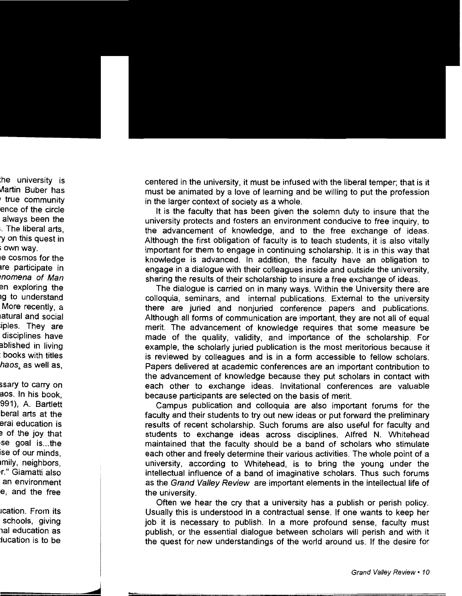centered in the university, it must be infused with the liberal temper; that is it must be animated by a love of learning and be willing to put the profession in the larger context of society as a whole.

It is the faculty that has been given the solemn duty to insure that the university protects and fosters an environment conducive to free inquiry, to the advancement of knowledge, and to the free exchange of ideas. Although the first obligation of faculty is to teach students, it is also vitally important for them to engage in continuing scholarship. It is in this way that knowledge is advanced. In addition, the faculty have an obligation to engage in a dialogue with their colleagues inside and outside the university, sharing the results of their scholarship to insure a free exchange of ideas.

The dialogue is carried on in many ways. Within the University there are colloquia, seminars, and internal publications. External to the university there are juried and nonjuried conference papers and publications. Although all forms of communication are important, they are not all of equal merit. The advancement of knowledge requires that some measure be made of the quality, validity, and importance of the scholarship. For example, the scholarly juried publication is the most meritorious because it is reviewed by colleagues and is in a form accessible to fellow scholars. Papers delivered at academic conferences are an important contribution to the advancement of knowledge because they put scholars in contact with each other to exchange ideas. Invitational conferences are valuable because participants are selected on the basis of merit.

Campus publication and colloquia are also important forums for the faculty and their students to try out new ideas or put forward the preliminary results of recent scholarship. Such forums are also useful for faculty and students to exchange ideas across disciplines. Alfred N. Whitehead maintained that the faculty should be a band of scholars who stimulate each other and freely determine their various activities. The whole point of a university, according to Whitehead, is to bring the young under the intellectual influence of a band of imaginative scholars. Thus such forums as the Grand Valley Review are important elements in the intellectual life of the university.

Often we hear the cry that a university has a publish or perish policy. Usually this is understood in a contractual sense. If one wants to keep her job it is necessary to publish. In a more profound sense, faculty must publish, or the essential dialogue between scholars will perish and with it the quest for new understandings of the world around us. If the desire for